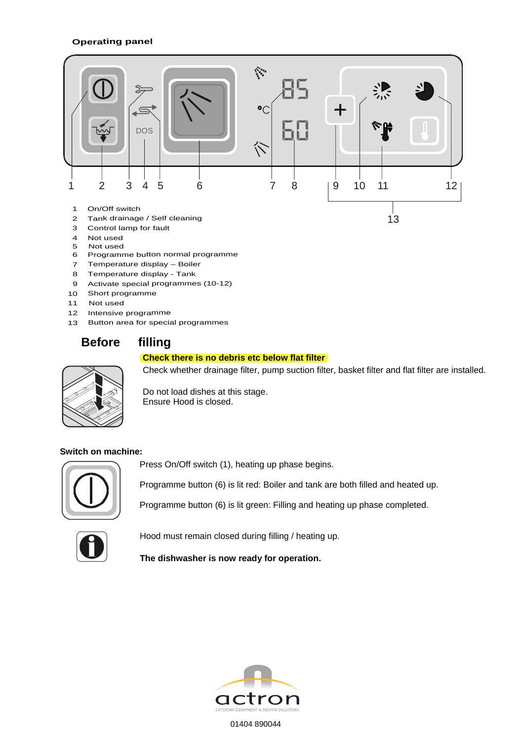#### **Operating panel**



- 3 Control lamp for fault
- 4 Not used
- 5 Not used
- 6 Programme button normal programme
- 7 Temperature display Boiler
- 8 Temperature display Tank
- 9 Activate special programmes (10-12)
- 10 Short programme
- 11 Not used
- 12 Intensive programme
- 13 Button area for special programmes

## **Before filling**

#### **Check there is no debris etc below flat filter**



Check whether drainage filter, pump suction filter, basket filter and flat filter are installed.

Do not load dishes at this stage. Ensure Hood is closed.

#### **Switch on machine:**



Press On/Off switch (1), heating up phase begins.

Programme button (6) is lit red: Boiler and tank are both filled and heated up.

Programme button (6) is lit green: Filling and heating up phase completed.



Hood must remain closed during filling / heating up.

**The dishwasher is now ready for operation.** 



01404 890044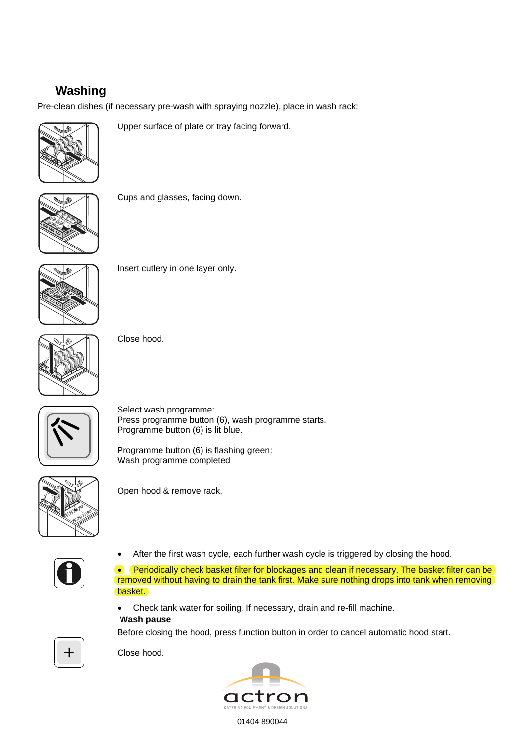# **Washing**

Pre-clean dishes (if necessary pre-wash with spraying nozzle), place in wash rack:



Upper surface of plate or tray facing forward.



Cups and glasses, facing down.



Insert cutlery in one layer only.



Close hood.



Select wash programme: Press programme button (6), wash programme starts. Programme button (6) is lit blue.

Programme button (6) is flashing green: Wash programme completed



Open hood & remove rack.



After the first wash cycle, each further wash cycle is triggered by closing the hood.

• Periodically check basket filter for blockages and clean if necessary. The basket filter can be removed without having to drain the tank first. Make sure nothing drops into tank when removing basket.

- Check tank water for soiling. If necessary, drain and re-fill machine.
- **Wash pause**

Before closing the hood, press function button in order to cancel automatic hood start.



Close hood.



01404 890044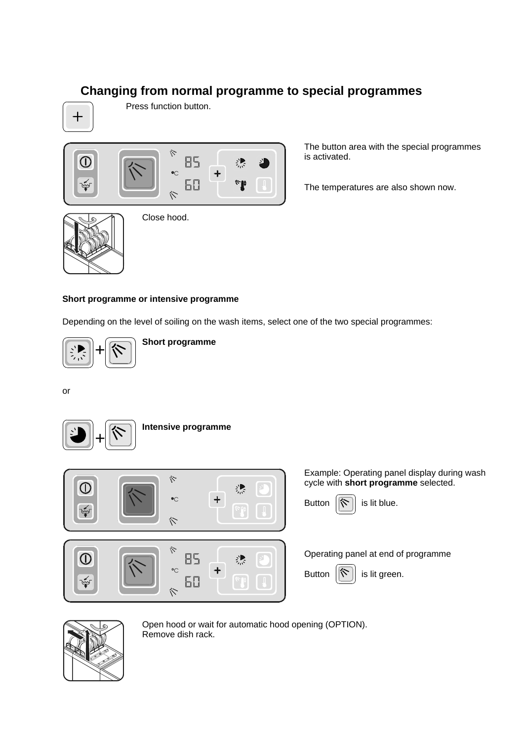## **Changing from normal programme to special programmes**



Press function button.



Close hood.

The button area with the special programmes is activated.

The temperatures are also shown now.



**Short programme or intensive programme** 

Depending on the level of soiling on the wash items, select one of the two special programmes:



**Short programme**

or



#### **Intensive programme**



Example: Operating panel display during wash cycle with **short programme** selected.



Operating panel at end of programme



Button  $\|\hat{\mathbf{v}}\|$  is lit green.



Open hood or wait for automatic hood opening (OPTION). Remove dish rack.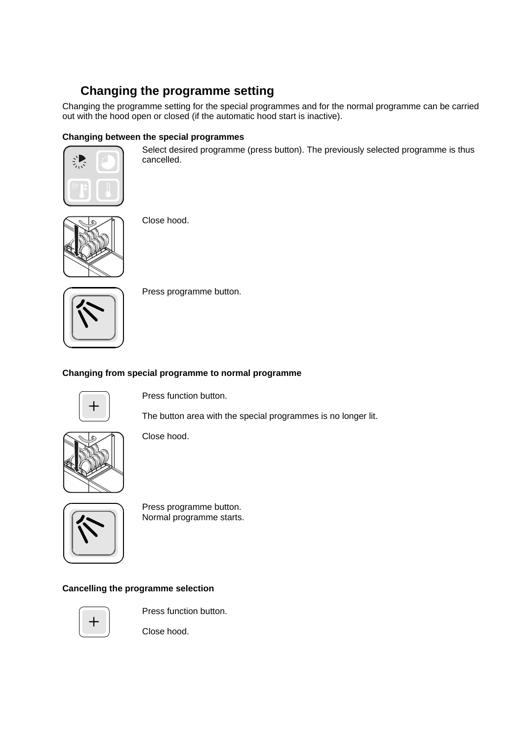# **Changing the programme setting**

Changing the programme setting for the special programmes and for the normal programme can be carried out with the hood open or closed (if the automatic hood start is inactive).

### **Changing between the special programmes**



Select desired programme (press button). The previously selected programme is thus cancelled.



Close hood.

Press programme button.

#### **Changing from special programme to normal programme**



Press function button.

The button area with the special programmes is no longer lit.



Close hood.



Press programme button. Normal programme starts.

### **Cancelling the programme selection**



Press function button.

Close hood.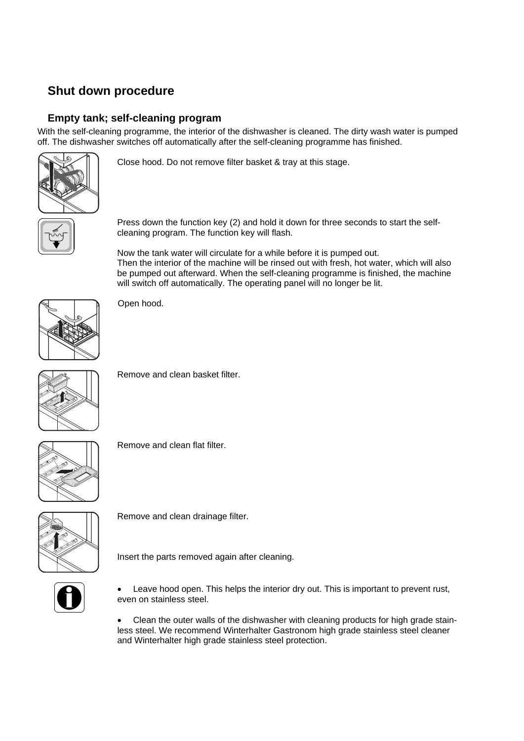## **Shut down procedure**

### **Empty tank; self-cleaning program**

With the self-cleaning programme, the interior of the dishwasher is cleaned. The dirty wash water is pumped off. The dishwasher switches off automatically after the self-cleaning programme has finished.



Close hood. Do not remove filter basket & tray at this stage.

Press down the function key (2) and hold it down for three seconds to start the selfcleaning program. The function key will flash.

Now the tank water will circulate for a while before it is pumped out. Then the interior of the machine will be rinsed out with fresh, hot water, which will also be pumped out afterward. When the self-cleaning programme is finished, the machine will switch off automatically. The operating panel will no longer be lit.



Open hood.



Remove and clean basket filter.



Remove and clean flat filter.



Remove and clean drainage filter.



Insert the parts removed again after cleaning.



Leave hood open. This helps the interior dry out. This is important to prevent rust, even on stainless steel.

• Clean the outer walls of the dishwasher with cleaning products for high grade stainless steel. We recommend Winterhalter Gastronom high grade stainless steel cleaner and Winterhalter high grade stainless steel protection.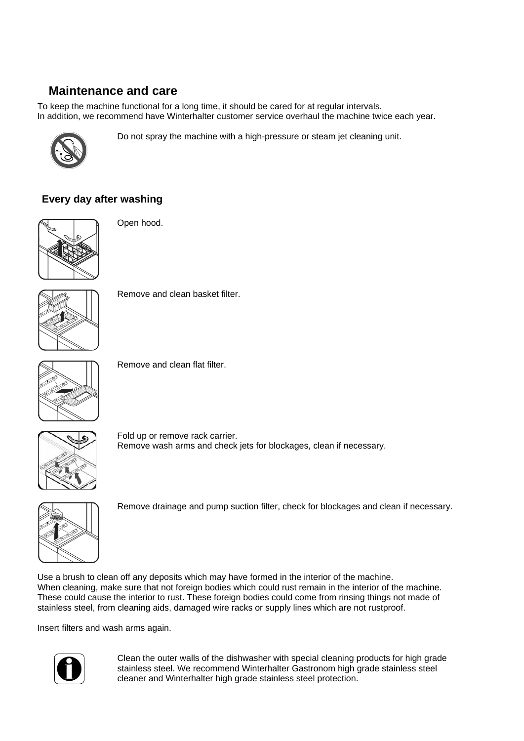## **Maintenance and care**

To keep the machine functional for a long time, it should be cared for at regular intervals. In addition, we recommend have Winterhalter customer service overhaul the machine twice each year.



Do not spray the machine with a high-pressure or steam jet cleaning unit.

### **Every day after washing**



Open hood.



Remove and clean basket filter.



Remove and clean flat filter.



Fold up or remove rack carrier. Remove wash arms and check jets for blockages, clean if necessary.



Remove drainage and pump suction filter, check for blockages and clean if necessary.

Use a brush to clean off any deposits which may have formed in the interior of the machine. When cleaning, make sure that not foreign bodies which could rust remain in the interior of the machine. These could cause the interior to rust. These foreign bodies could come from rinsing things not made of stainless steel, from cleaning aids, damaged wire racks or supply lines which are not rustproof.

Insert filters and wash arms again.



Clean the outer walls of the dishwasher with special cleaning products for high grade stainless steel. We recommend Winterhalter Gastronom high grade stainless steel cleaner and Winterhalter high grade stainless steel protection.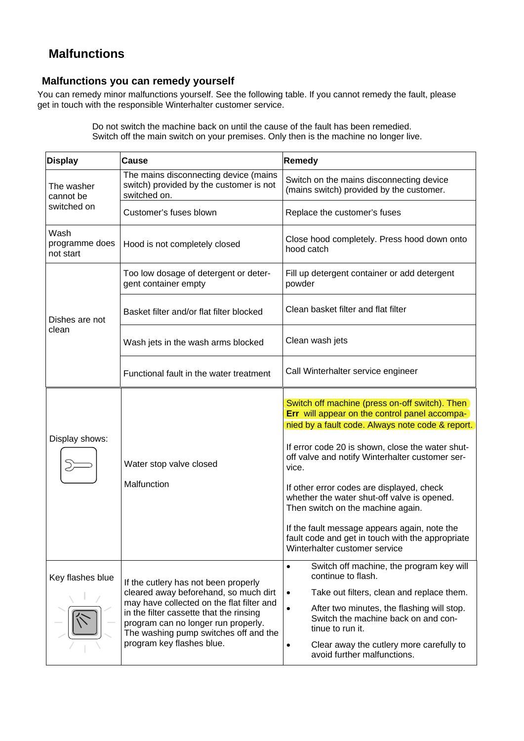## **Malfunctions**

### **Malfunctions you can remedy yourself**

You can remedy minor malfunctions yourself. See the following table. If you cannot remedy the fault, please get in touch with the responsible Winterhalter customer service.

> Do not switch the machine back on until the cause of the fault has been remedied. Switch off the main switch on your premises. Only then is the machine no longer live.

| <b>Display</b>                         | <b>Cause</b>                                                                                                                                                                                                                                                                       | <b>Remedy</b>                                                                                                                                                                                                                                                                                                                                                                                                                                                                                                                             |
|----------------------------------------|------------------------------------------------------------------------------------------------------------------------------------------------------------------------------------------------------------------------------------------------------------------------------------|-------------------------------------------------------------------------------------------------------------------------------------------------------------------------------------------------------------------------------------------------------------------------------------------------------------------------------------------------------------------------------------------------------------------------------------------------------------------------------------------------------------------------------------------|
| The washer<br>cannot be<br>switched on | The mains disconnecting device (mains<br>switch) provided by the customer is not<br>switched on.                                                                                                                                                                                   | Switch on the mains disconnecting device<br>(mains switch) provided by the customer.                                                                                                                                                                                                                                                                                                                                                                                                                                                      |
|                                        | Customer's fuses blown                                                                                                                                                                                                                                                             | Replace the customer's fuses                                                                                                                                                                                                                                                                                                                                                                                                                                                                                                              |
| Wash<br>programme does<br>not start    | Hood is not completely closed                                                                                                                                                                                                                                                      | Close hood completely. Press hood down onto<br>hood catch                                                                                                                                                                                                                                                                                                                                                                                                                                                                                 |
| Dishes are not<br>clean                | Too low dosage of detergent or deter-<br>gent container empty                                                                                                                                                                                                                      | Fill up detergent container or add detergent<br>powder                                                                                                                                                                                                                                                                                                                                                                                                                                                                                    |
|                                        | Basket filter and/or flat filter blocked                                                                                                                                                                                                                                           | Clean basket filter and flat filter                                                                                                                                                                                                                                                                                                                                                                                                                                                                                                       |
|                                        | Wash jets in the wash arms blocked                                                                                                                                                                                                                                                 | Clean wash jets                                                                                                                                                                                                                                                                                                                                                                                                                                                                                                                           |
|                                        | Functional fault in the water treatment                                                                                                                                                                                                                                            | Call Winterhalter service engineer                                                                                                                                                                                                                                                                                                                                                                                                                                                                                                        |
| Display shows:                         | Water stop valve closed<br>Malfunction                                                                                                                                                                                                                                             | Switch off machine (press on-off switch). Then<br>Err will appear on the control panel accompa-<br>nied by a fault code. Always note code & report.<br>If error code 20 is shown, close the water shut-<br>off valve and notify Winterhalter customer ser-<br>vice.<br>If other error codes are displayed, check<br>whether the water shut-off valve is opened.<br>Then switch on the machine again.<br>If the fault message appears again, note the<br>fault code and get in touch with the appropriate<br>Winterhalter customer service |
| Key flashes blue                       | If the cutlery has not been properly<br>cleared away beforehand, so much dirt<br>may have collected on the flat filter and<br>in the filter cassette that the rinsing<br>program can no longer run properly.<br>The washing pump switches off and the<br>program key flashes blue. | Switch off machine, the program key will<br>$\bullet$<br>continue to flash.<br>Take out filters, clean and replace them.<br>After two minutes, the flashing will stop.<br>Switch the machine back on and con-<br>tinue to run it.<br>Clear away the cutlery more carefully to<br>avoid further malfunctions.                                                                                                                                                                                                                              |